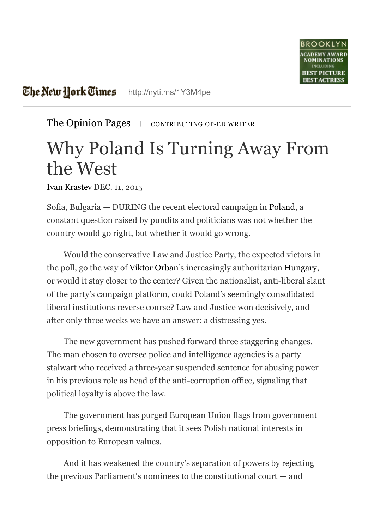

## The Netu Hork Times | <http://nyti.ms/1Y3M4pe>

The [Opinion](http://www.nytimes.com/pages/opinion/index.html) Pages | CONTRIBUTING OP-ED WRITER

## Why Poland Is Turning Away From the West

Ivan [Krastev](http://www.nytimes.com/column/ivan-krastev) DEC. 11, 2015

Sofia, Bulgaria — DURING the recent electoral campaign in [Poland](http://topics.nytimes.com/top/news/international/countriesandterritories/poland/index.html?inline=nyt-geo), a constant question raised by pundits and politicians was not whether the country would go right, but whether it would go wrong.

Would the conservative Law and Justice Party, the expected victors in the poll, go the way of Viktor [Orban'](http://topics.nytimes.com/top/reference/timestopics/people/o/viktor_orban/index.html?inline=nyt-per)s increasingly authoritarian [Hungary,](http://topics.nytimes.com/top/news/international/countriesandterritories/hungary/index.html?inline=nyt-geo) or would it stay closer to the center? Given the nationalist, anti-liberal slant of the party's campaign platform, could Poland's seemingly consolidated liberal institutions reverse course? Law and Justice won decisively, and after only three weeks we have an answer: a distressing yes.

The new government has pushed forward three staggering changes. The man chosen to oversee police and intelligence agencies is a party stalwart who received a three-year suspended sentence for abusing power in his previous role as head of the anti-corruption office, signaling that political loyalty is above the law.

The government has purged European Union flags from government press briefings, demonstrating that it sees Polish national interests in opposition to European values.

And it has weakened the country's separation of powers by rejecting the previous Parliament's nominees to the constitutional court — and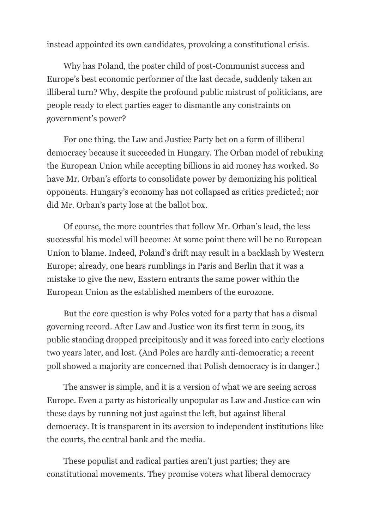instead appointed its own candidates, provoking a constitutional crisis.

Why has Poland, the poster child of post-Communist success and Europe's best economic performer of the last decade, suddenly taken an illiberal turn? Why, despite the profound public mistrust of politicians, are people ready to elect parties eager to dismantle any constraints on government's power?

For one thing, the Law and Justice Party bet on a form of illiberal democracy because it succeeded in Hungary. The Orban model of rebuking the European Union while accepting billions in aid money has worked. So have Mr. Orban's efforts to consolidate power by demonizing his political opponents. Hungary's economy has not collapsed as critics predicted; nor did Mr. Orban's party lose at the ballot box.

Of course, the more countries that follow Mr. Orban's lead, the less successful his model will become: At some point there will be no European Union to blame. Indeed, Poland's drift may result in a backlash by Western Europe; already, one hears rumblings in Paris and Berlin that it was a mistake to give the new, Eastern entrants the same power within the European Union as the established members of the eurozone.

But the core question is why Poles voted for a party that has a dismal governing record. After Law and Justice won its first term in 2005, its public standing dropped precipitously and it was forced into early elections two years later, and lost. (And Poles are hardly anti-democratic; a recent poll showed a majority are concerned that Polish democracy is in danger.)

The answer is simple, and it is a version of what we are seeing across Europe. Even a party as historically unpopular as Law and Justice can win these days by running not just against the left, but against liberal democracy. It is transparent in its aversion to independent institutions like the courts, the central bank and the media.

These populist and radical parties aren't just parties; they are constitutional movements. They promise voters what liberal democracy